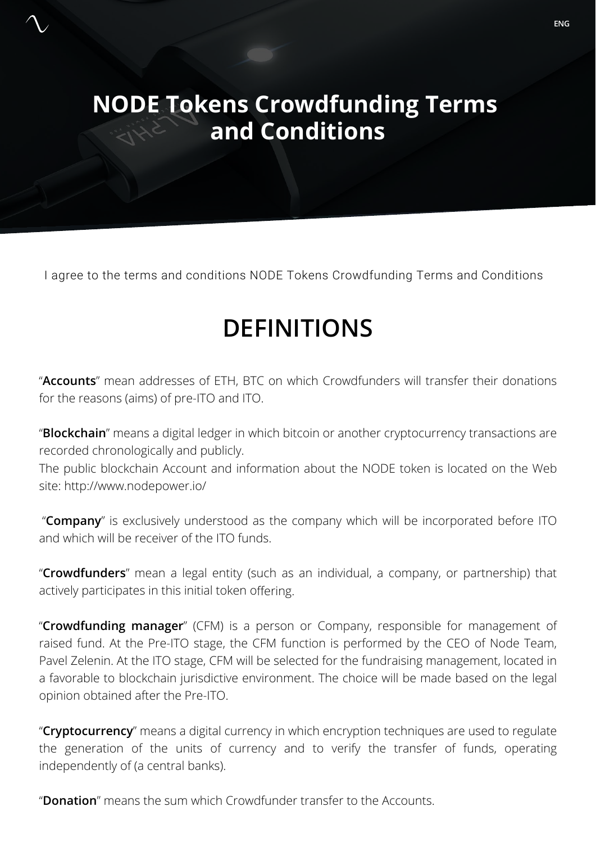# **NODE Tokens Crowdfunding Terms and Conditions**

I agree to the terms and conditions NODE Tokens Crowdfunding Terms and Conditions

# **DEFINITIONS**

"**Accounts**" mean addresses of ETH, BTC on which Crowdfunders will transfer their donations for the reasons (aims) of pre-ITO and ITO.

"**Blockchain**" means a digital ledger in which bitcoin or another cryptocurrency transactions are recorded chronologically and publicly.

The public blockchain Account and information about the NODE token is located on the Web site: http://www.nodepower.io/

"**Company**" is exclusively understood as the company which will be incorporated before ITO and which will be receiver of the ITO funds.

"**Crowdfunders**" mean a legal entity (such as an individual, a company, or partnership) that actively participates in this initial token offering.

"**Crowdfunding manager**" (CFM) is a person or Company, responsible for management of raised fund. At the Pre-ITO stage, the CFM function is performed by the CEO of Node Team, Pavel Zelenin. At the ITO stage, CFM will be selected for the fundraising management, located in a favorable to blockchain jurisdictive environment. The choice will be made based on the legal opinion obtained after the Pre-ITO.

"**Cryptocurrency**" means a digital currency in which encryption techniques are used to regulate the generation of the units of currency and to verify the transfer of funds, operating independently of (a central banks).

"**Donation**" means the sum which Crowdfunder transfer to the Accounts.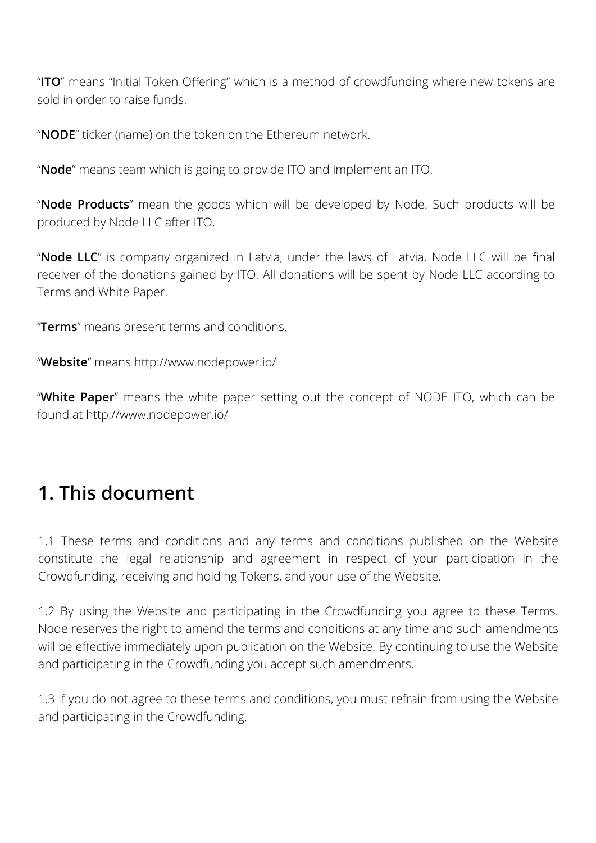"**ITO**" means "Initial Token Offering" which is a method of crowdfunding where new tokens are sold in order to raise funds.

"**NODE**" ticker (name) on the token on the Ethereum network.

"**Node**" means team which is going to provide ITO and implement an ITO.

"**Node Products**" mean the goods which will be developed by Node. Such products will be produced by Node LLC after ITO.

"**Node LLC**" is company organized in Latvia, under the laws of Latvia. Node LLC will be final receiver of the donations gained by ITO. All donations will be spent by Node LLC according to Terms and White Paper.

"**Terms**" means present terms and conditions.

"**Website**" means http://www.nodepower.io/

"**White Paper**" means the white paper setting out the concept of NODE ITO, which can be found at http://www.nodepower.io/

# **1. This document**

1.1 These terms and conditions and any terms and conditions published on the Website constitute the legal relationship and agreement in respect of your participation in the Crowdfunding, receiving and holding Tokens, and your use of the Website.

1.2 By using the Website and participating in the Crowdfunding you agree to these Terms. Node reserves the right to amend the terms and conditions at any time and such amendments will be effective immediately upon publication on the Website. By continuing to use the Website and participating in the Crowdfunding you accept such amendments.

1.3 If you do not agree to these terms and conditions, you must refrain from using the Website and participating in the Crowdfunding.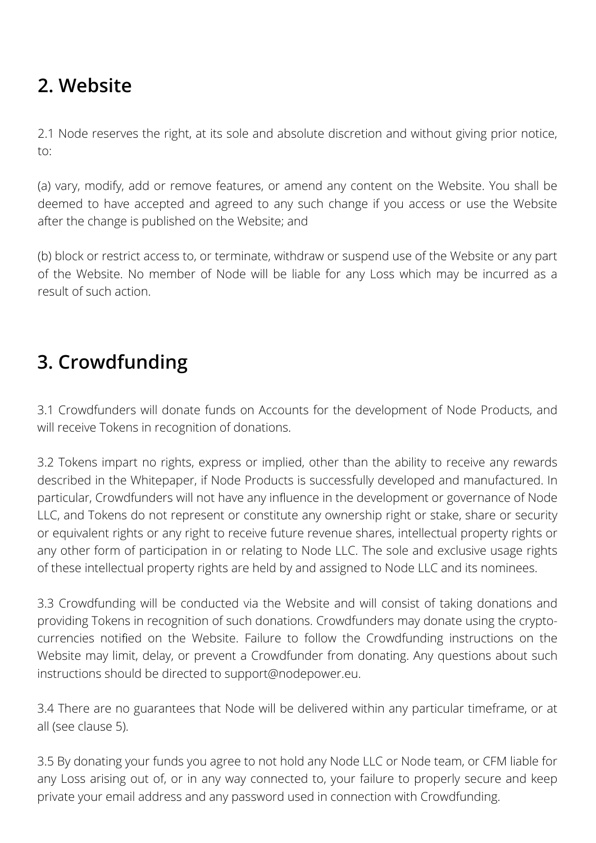# **2. Website**

2.1 Node reserves the right, at its sole and absolute discretion and without giving prior notice, to:

(a) vary, modify, add or remove features, or amend any content on the Website. You shall be deemed to have accepted and agreed to any such change if you access or use the Website after the change is published on the Website; and

(b) block or restrict access to, or terminate, withdraw or suspend use of the Website or any part of the Website. No member of Node will be liable for any Loss which may be incurred as a result of such action.

# **3. Crowdfunding**

3.1 Crowdfunders will donate funds on Accounts for the development of Node Products, and will receive Tokens in recognition of donations.

3.2 Tokens impart no rights, express or implied, other than the ability to receive any rewards described in the Whitepaper, if Node Products is successfully developed and manufactured. In particular, Crowdfunders will not have any influence in the development or governance of Node LLC, and Tokens do not represent or constitute any ownership right or stake, share or security or equivalent rights or any right to receive future revenue shares, intellectual property rights or any other form of participation in or relating to Node LLC. The sole and exclusive usage rights of these intellectual property rights are held by and assigned to Node LLC and its nominees.

3.3 Crowdfunding will be conducted via the Website and will consist of taking donations and providing Tokens in recognition of such donations. Crowdfunders may donate using the cryptocurrencies notified on the Website. Failure to follow the Crowdfunding instructions on the Website may limit, delay, or prevent a Crowdfunder from donating. Any questions about such instructions should be directed to support@nodepower.eu.

3.4 There are no guarantees that Node will be delivered within any particular timeframe, or at all (see clause 5).

3.5 By donating your funds you agree to not hold any Node LLC or Node team, or CFM liable for any Loss arising out of, or in any way connected to, your failure to properly secure and keep private your email address and any password used in connection with Crowdfunding.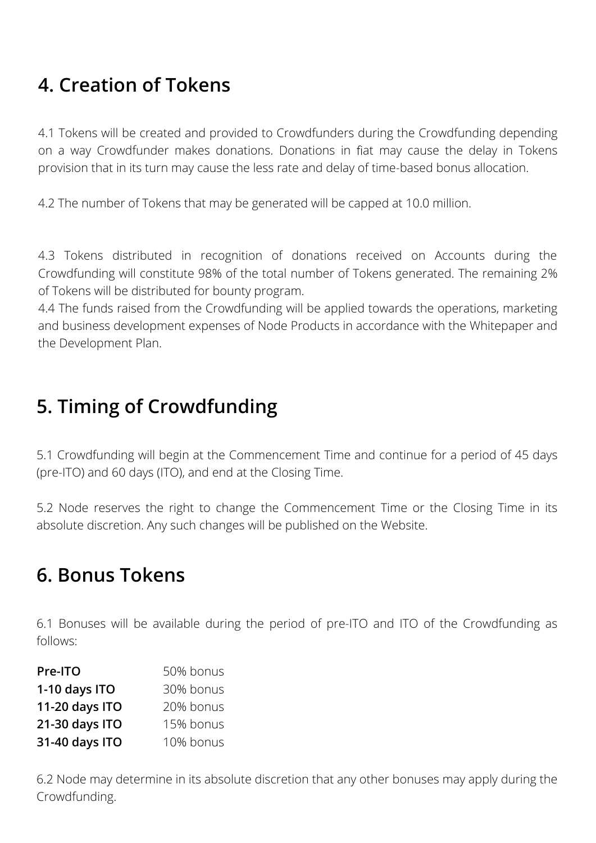# **4. Creation of Tokens**

4.1 Tokens will be created and provided to Crowdfunders during the Crowdfunding depending on a way Crowdfunder makes donations. Donations in fiat may cause the delay in Tokens provision that in its turn may cause the less rate and delay of time-based bonus allocation.

4.2 The number of Tokens that may be generated will be capped at 10.0 million.

4.3 Tokens distributed in recognition of donations received on Accounts during the Crowdfunding will constitute 98% of the total number of Tokens generated. The remaining 2% of Tokens will be distributed for bounty program.

4.4 The funds raised from the Crowdfunding will be applied towards the operations, marketing and business development expenses of Node Products in accordance with the Whitepaper and the Development Plan.

#### **5. Timing of Crowdfunding**

5.1 Crowdfunding will begin at the Commencement Time and continue for a period of 45 days (pre-ITO) and 60 days (ITO), and end at the Closing Time.

5.2 Node reserves the right to change the Commencement Time or the Closing Time in its absolute discretion. Any such changes will be published on the Website.

#### **6. Bonus Tokens**

6.1 Bonuses will be available during the period of pre-ITO and ITO of the Crowdfunding as follows:

| Pre-ITO        | 50% bonus |
|----------------|-----------|
| 1-10 days ITO  | 30% bonus |
| 11-20 days ITO | 20% bonus |
| 21-30 days ITO | 15% bonus |
| 31-40 days ITO | 10% bonus |

6.2 Node may determine in its absolute discretion that any other bonuses may apply during the Crowdfunding.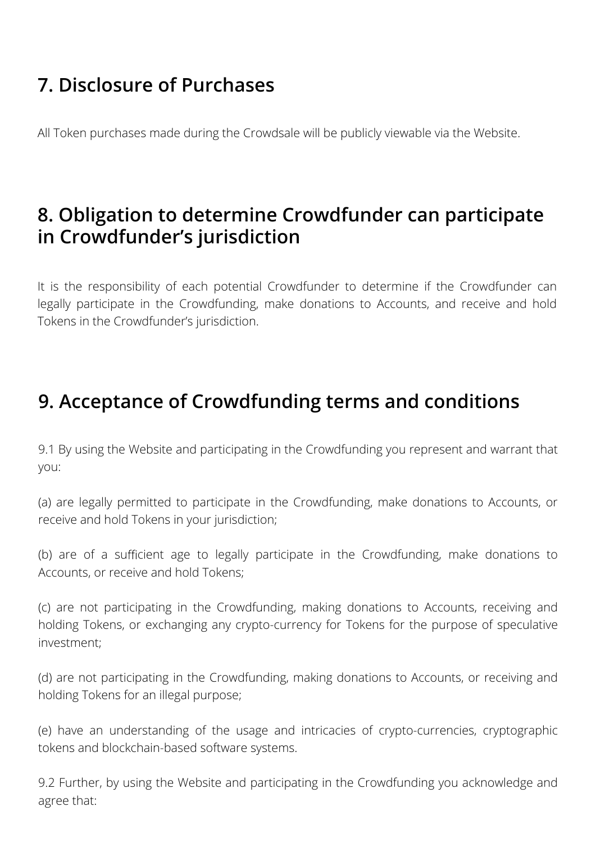# **7. Disclosure of Purchases**

All Token purchases made during the Crowdsale will be publicly viewable via the Website.

#### **8. Obligation to determine Crowdfunder can participate in Crowdfunder's jurisdiction**

It is the responsibility of each potential Crowdfunder to determine if the Crowdfunder can legally participate in the Crowdfunding, make donations to Accounts, and receive and hold Tokens in the Crowdfunder's jurisdiction.

# **9. Acceptance of Crowdfunding terms and conditions**

9.1 By using the Website and participating in the Crowdfunding you represent and warrant that you:

(a) are legally permitted to participate in the Crowdfunding, make donations to Accounts, or receive and hold Tokens in your jurisdiction;

(b) are of a sufficient age to legally participate in the Crowdfunding, make donations to Accounts, or receive and hold Tokens;

(c) are not participating in the Crowdfunding, making donations to Accounts, receiving and holding Tokens, or exchanging any crypto-currency for Tokens for the purpose of speculative investment;

(d) are not participating in the Crowdfunding, making donations to Accounts, or receiving and holding Tokens for an illegal purpose;

(e) have an understanding of the usage and intricacies of crypto-currencies, cryptographic tokens and blockchain-based software systems.

9.2 Further, by using the Website and participating in the Crowdfunding you acknowledge and agree that: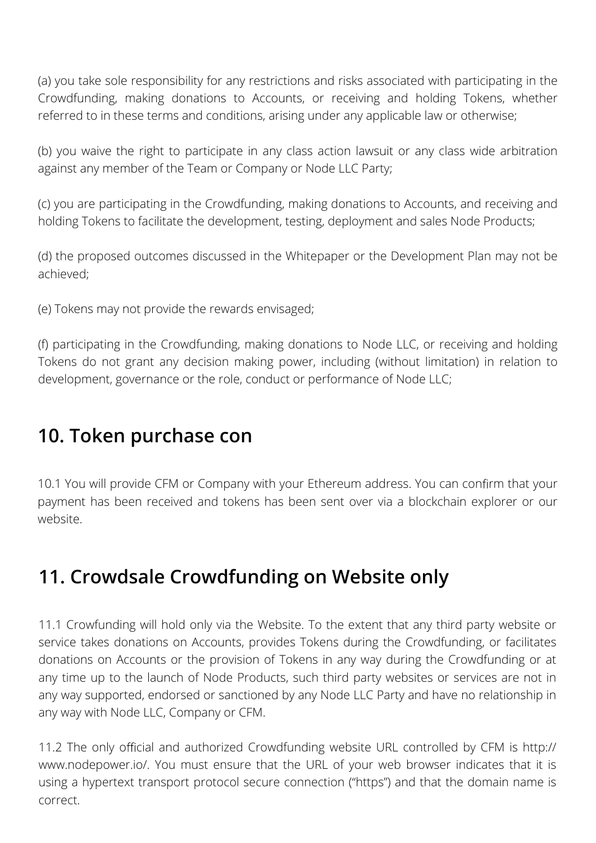(a) you take sole responsibility for any restrictions and risks associated with participating in the Crowdfunding, making donations to Accounts, or receiving and holding Tokens, whether referred to in these terms and conditions, arising under any applicable law or otherwise;

(b) you waive the right to participate in any class action lawsuit or any class wide arbitration against any member of the Team or Company or Node LLC Party;

(c) you are participating in the Crowdfunding, making donations to Accounts, and receiving and holding Tokens to facilitate the development, testing, deployment and sales Node Products;

(d) the proposed outcomes discussed in the Whitepaper or the Development Plan may not be achieved;

(e) Tokens may not provide the rewards envisaged;

(f) participating in the Crowdfunding, making donations to Node LLC, or receiving and holding Tokens do not grant any decision making power, including (without limitation) in relation to development, governance or the role, conduct or performance of Node LLC;

#### **10. Token purchase con**

10.1 You will provide CFM or Company with your Ethereum address. You can confirm that your payment has been received and tokens has been sent over via a blockchain explorer or our website.

# **11. Crowdsale Crowdfunding on Website only**

11.1 Crowfunding will hold only via the Website. To the extent that any third party website or service takes donations on Accounts, provides Tokens during the Crowdfunding, or facilitates donations on Accounts or the provision of Tokens in any way during the Crowdfunding or at any time up to the launch of Node Products, such third party websites or services are not in any way supported, endorsed or sanctioned by any Node LLC Party and have no relationship in any way with Node LLC, Company or CFM.

11.2 The only official and authorized Crowdfunding website URL controlled by CFM is http:// www.nodepower.io/. You must ensure that the URL of your web browser indicates that it is using a hypertext transport protocol secure connection ("https") and that the domain name is correct.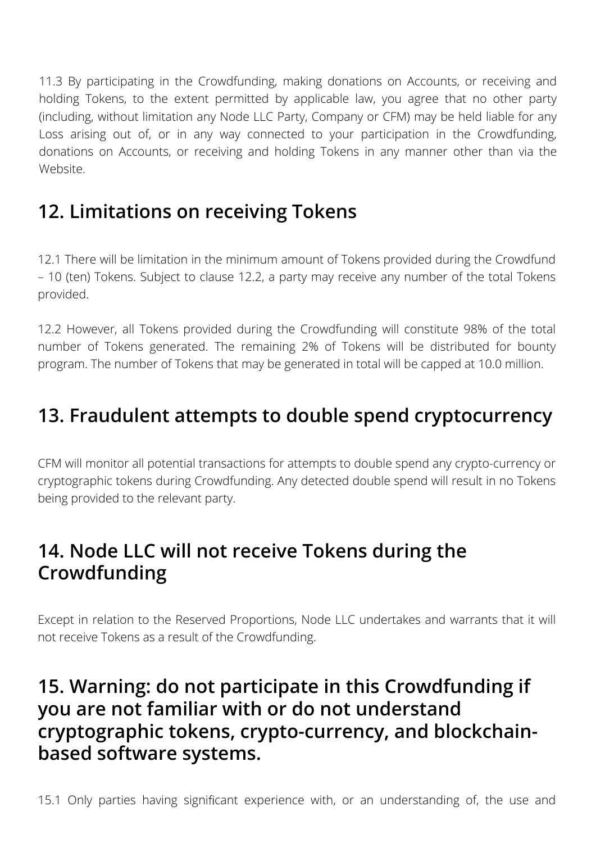11.3 By participating in the Crowdfunding, making donations on Accounts, or receiving and holding Tokens, to the extent permitted by applicable law, you agree that no other party (including, without limitation any Node LLC Party, Company or CFM) may be held liable for any Loss arising out of, or in any way connected to your participation in the Crowdfunding, donations on Accounts, or receiving and holding Tokens in any manner other than via the Website.

# **12. Limitations on receiving Tokens**

12.1 There will be limitation in the minimum amount of Tokens provided during the Crowdfund – 10 (ten) Tokens. Subject to clause 12.2, a party may receive any number of the total Tokens provided.

12.2 However, all Tokens provided during the Crowdfunding will constitute 98% of the total number of Tokens generated. The remaining 2% of Tokens will be distributed for bounty program. The number of Tokens that may be generated in total will be capped at 10.0 million.

# **13. Fraudulent attempts to double spend cryptocurrency**

CFM will monitor all potential transactions for attempts to double spend any crypto-currency or cryptographic tokens during Crowdfunding. Any detected double spend will result in no Tokens being provided to the relevant party.

#### **14. Node LLC will not receive Tokens during the Crowdfunding**

Except in relation to the Reserved Proportions, Node LLC undertakes and warrants that it will not receive Tokens as a result of the Crowdfunding.

#### **15. Warning: do not participate in this Crowdfunding if you are not familiar with or do not understand cryptographic tokens, crypto-currency, and blockchainbased software systems.**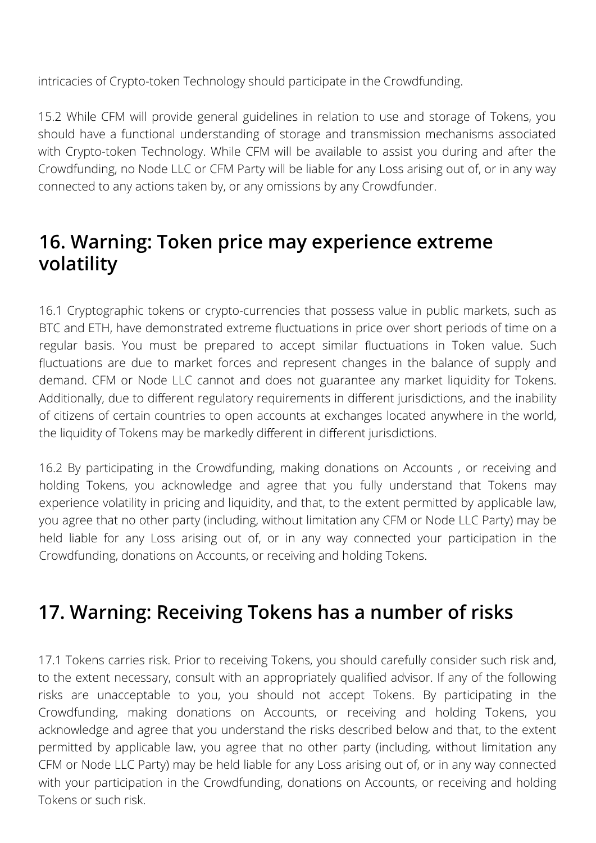intricacies of Crypto-token Technology should participate in the Crowdfunding.

15.2 While CFM will provide general guidelines in relation to use and storage of Tokens, you should have a functional understanding of storage and transmission mechanisms associated with Crypto-token Technology. While CFM will be available to assist you during and after the Crowdfunding, no Node LLC or CFM Party will be liable for any Loss arising out of, or in any way connected to any actions taken by, or any omissions by any Crowdfunder.

#### **16. Warning: Token price may experience extreme volatility**

16.1 Cryptographic tokens or crypto-currencies that possess value in public markets, such as BTC and ETH, have demonstrated extreme fluctuations in price over short periods of time on a regular basis. You must be prepared to accept similar fluctuations in Token value. Such fluctuations are due to market forces and represent changes in the balance of supply and demand. CFM or Node LLC cannot and does not guarantee any market liquidity for Tokens. Additionally, due to different regulatory requirements in different jurisdictions, and the inability of citizens of certain countries to open accounts at exchanges located anywhere in the world, the liquidity of Tokens may be markedly different in different jurisdictions.

16.2 By participating in the Crowdfunding, making donations on Accounts , or receiving and holding Tokens, you acknowledge and agree that you fully understand that Tokens may experience volatility in pricing and liquidity, and that, to the extent permitted by applicable law, you agree that no other party (including, without limitation any CFM or Node LLC Party) may be held liable for any Loss arising out of, or in any way connected your participation in the Crowdfunding, donations on Accounts, or receiving and holding Tokens.

# **17. Warning: Receiving Tokens has a number of risks**

17.1 Tokens carries risk. Prior to receiving Tokens, you should carefully consider such risk and, to the extent necessary, consult with an appropriately qualified advisor. If any of the following risks are unacceptable to you, you should not accept Tokens. By participating in the Crowdfunding, making donations on Accounts, or receiving and holding Tokens, you acknowledge and agree that you understand the risks described below and that, to the extent permitted by applicable law, you agree that no other party (including, without limitation any CFM or Node LLC Party) may be held liable for any Loss arising out of, or in any way connected with your participation in the Crowdfunding, donations on Accounts, or receiving and holding Tokens or such risk.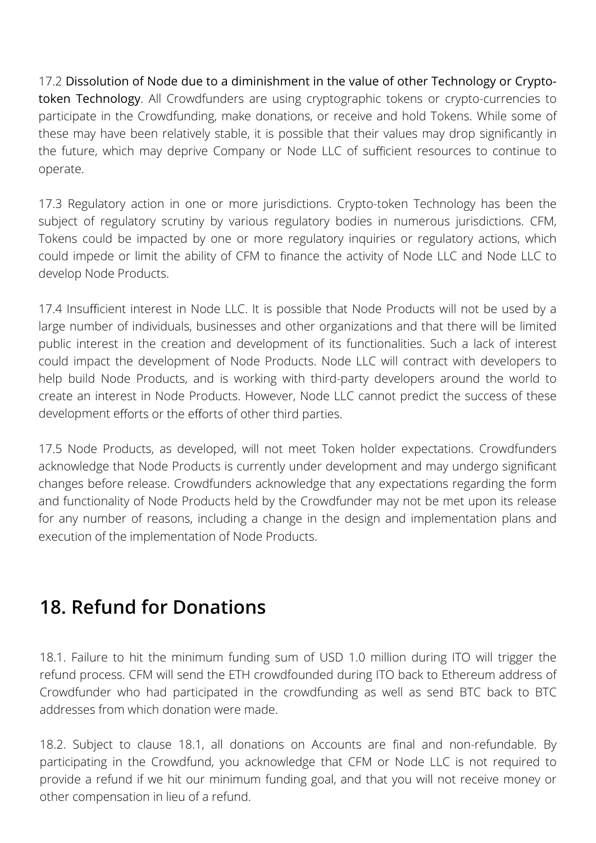17.2 Dissolution of Node due to a diminishment in the value of other Technology or Cryptotoken Technology. All Crowdfunders are using cryptographic tokens or crypto-currencies to participate in the Crowdfunding, make donations, or receive and hold Tokens. While some of these may have been relatively stable, it is possible that their values may drop significantly in the future, which may deprive Company or Node LLC of sufficient resources to continue to operate.

17.3 Regulatory action in one or more jurisdictions. Crypto-token Technology has been the subject of regulatory scrutiny by various regulatory bodies in numerous jurisdictions. CFM, Tokens could be impacted by one or more regulatory inquiries or regulatory actions, which could impede or limit the ability of CFM to finance the activity of Node LLC and Node LLC to develop Node Products.

17.4 Insufficient interest in Node LLC. It is possible that Node Products will not be used by a large number of individuals, businesses and other organizations and that there will be limited public interest in the creation and development of its functionalities. Such a lack of interest could impact the development of Node Products. Node LLC will contract with developers to help build Node Products, and is working with third-party developers around the world to create an interest in Node Products. However, Node LLC cannot predict the success of these development efforts or the efforts of other third parties.

17.5 Node Products, as developed, will not meet Token holder expectations. Crowdfunders acknowledge that Node Products is currently under development and may undergo significant changes before release. Crowdfunders acknowledge that any expectations regarding the form and functionality of Node Products held by the Crowdfunder may not be met upon its release for any number of reasons, including a change in the design and implementation plans and execution of the implementation of Node Products.

#### **18. Refund for Donations**

18.1. Failure to hit the minimum funding sum of USD 1.0 million during ITO will trigger the refund process. CFM will send the ETH crowdfounded during ITO back to Ethereum address of Crowdfunder who had participated in the crowdfunding as well as send BTC back to BTC addresses from which donation were made.

18.2. Subject to clause 18.1, all donations on Accounts are final and non-refundable. By participating in the Crowdfund, you acknowledge that CFM or Node LLC is not required to provide a refund if we hit our minimum funding goal, and that you will not receive money or other compensation in lieu of a refund.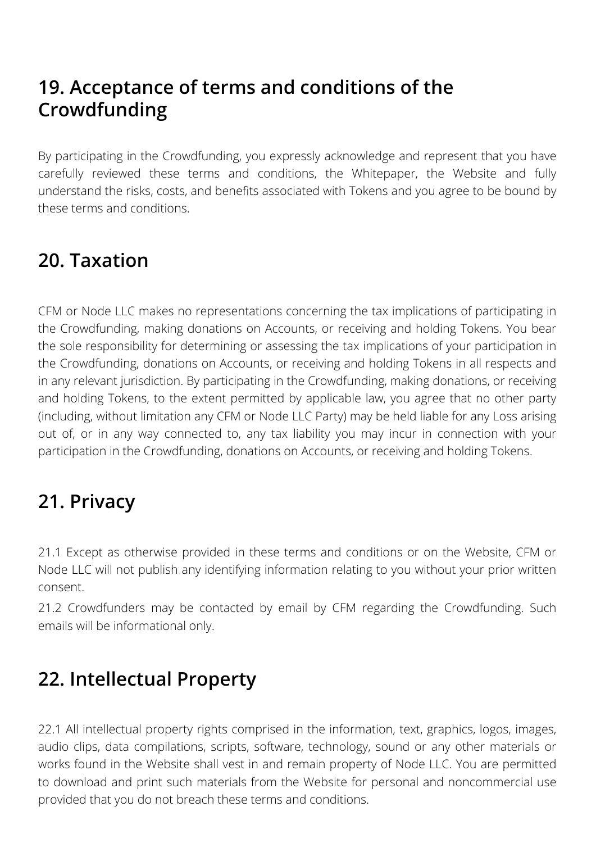# **19. Acceptance of terms and conditions of the Crowdfunding**

By participating in the Crowdfunding, you expressly acknowledge and represent that you have carefully reviewed these terms and conditions, the Whitepaper, the Website and fully understand the risks, costs, and benefits associated with Tokens and you agree to be bound by these terms and conditions.

# **20. Taxation**

CFM or Node LLC makes no representations concerning the tax implications of participating in the Crowdfunding, making donations on Accounts, or receiving and holding Tokens. You bear the sole responsibility for determining or assessing the tax implications of your participation in the Crowdfunding, donations on Accounts, or receiving and holding Tokens in all respects and in any relevant jurisdiction. By participating in the Crowdfunding, making donations, or receiving and holding Tokens, to the extent permitted by applicable law, you agree that no other party (including, without limitation any CFM or Node LLC Party) may be held liable for any Loss arising out of, or in any way connected to, any tax liability you may incur in connection with your participation in the Crowdfunding, donations on Accounts, or receiving and holding Tokens.

# **21. Privacy**

21.1 Except as otherwise provided in these terms and conditions or on the Website, CFM or Node LLC will not publish any identifying information relating to you without your prior written consent.

21.2 Crowdfunders may be contacted by email by CFM regarding the Crowdfunding. Such emails will be informational only.

# **22. Intellectual Property**

22.1 All intellectual property rights comprised in the information, text, graphics, logos, images, audio clips, data compilations, scripts, software, technology, sound or any other materials or works found in the Website shall vest in and remain property of Node LLC. You are permitted to download and print such materials from the Website for personal and noncommercial use provided that you do not breach these terms and conditions.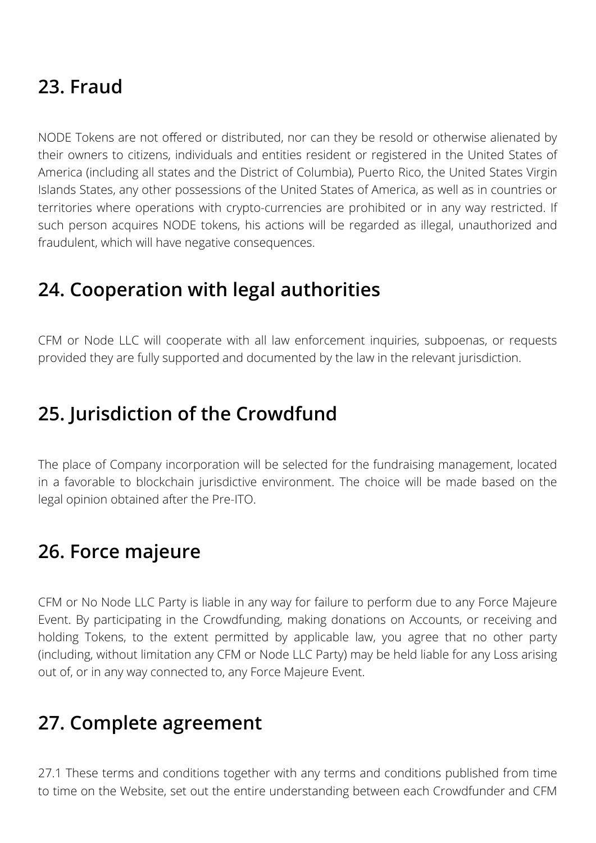# **23. Fraud**

NODE Tokens are not offered or distributed, nor can they be resold or otherwise alienated by their owners to citizens, individuals and entities resident or registered in the United States of America (including all states and the District of Columbia), Puerto Rico, the United States Virgin Islands States, any other possessions of the United States of America, as well as in countries or territories where operations with crypto-currencies are prohibited or in any way restricted. If such person acquires NODE tokens, his actions will be regarded as illegal, unauthorized and fraudulent, which will have negative consequences.

# **24. Cooperation with legal authorities**

CFM or Node LLC will cooperate with all law enforcement inquiries, subpoenas, or requests provided they are fully supported and documented by the law in the relevant jurisdiction.

#### **25. Jurisdiction of the Crowdfund**

The place of Company incorporation will be selected for the fundraising management, located in a favorable to blockchain jurisdictive environment. The choice will be made based on the legal opinion obtained after the Pre-ITO.

#### **26. Force majeure**

CFM or No Node LLC Party is liable in any way for failure to perform due to any Force Majeure Event. By participating in the Crowdfunding, making donations on Accounts, or receiving and holding Tokens, to the extent permitted by applicable law, you agree that no other party (including, without limitation any CFM or Node LLC Party) may be held liable for any Loss arising out of, or in any way connected to, any Force Majeure Event.

# **27. Complete agreement**

27.1 These terms and conditions together with any terms and conditions published from time to time on the Website, set out the entire understanding between each Crowdfunder and CFM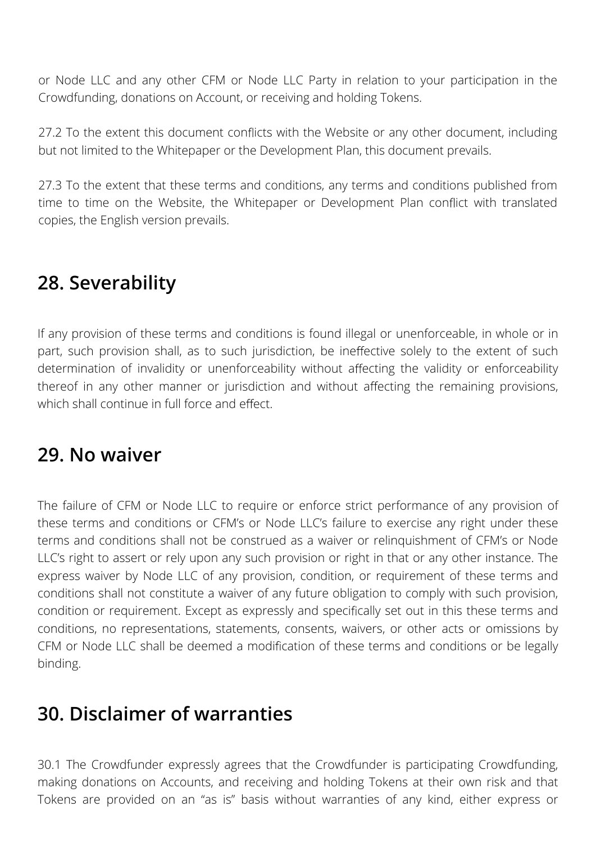or Node LLC and any other CFM or Node LLC Party in relation to your participation in the Crowdfunding, donations on Account, or receiving and holding Tokens.

27.2 To the extent this document conflicts with the Website or any other document, including but not limited to the Whitepaper or the Development Plan, this document prevails.

27.3 To the extent that these terms and conditions, any terms and conditions published from time to time on the Website, the Whitepaper or Development Plan conflict with translated copies, the English version prevails.

# **28. Severability**

If any provision of these terms and conditions is found illegal or unenforceable, in whole or in part, such provision shall, as to such jurisdiction, be ineffective solely to the extent of such determination of invalidity or unenforceability without affecting the validity or enforceability thereof in any other manner or jurisdiction and without affecting the remaining provisions, which shall continue in full force and effect.

#### **29. No waiver**

The failure of CFM or Node LLC to require or enforce strict performance of any provision of these terms and conditions or CFM's or Node LLC's failure to exercise any right under these terms and conditions shall not be construed as a waiver or relinquishment of CFM's or Node LLC's right to assert or rely upon any such provision or right in that or any other instance. The express waiver by Node LLC of any provision, condition, or requirement of these terms and conditions shall not constitute a waiver of any future obligation to comply with such provision, condition or requirement. Except as expressly and specifically set out in this these terms and conditions, no representations, statements, consents, waivers, or other acts or omissions by CFM or Node LLC shall be deemed a modification of these terms and conditions or be legally binding.

#### **30. Disclaimer of warranties**

30.1 The Crowdfunder expressly agrees that the Crowdfunder is participating Crowdfunding, making donations on Accounts, and receiving and holding Tokens at their own risk and that Tokens are provided on an "as is" basis without warranties of any kind, either express or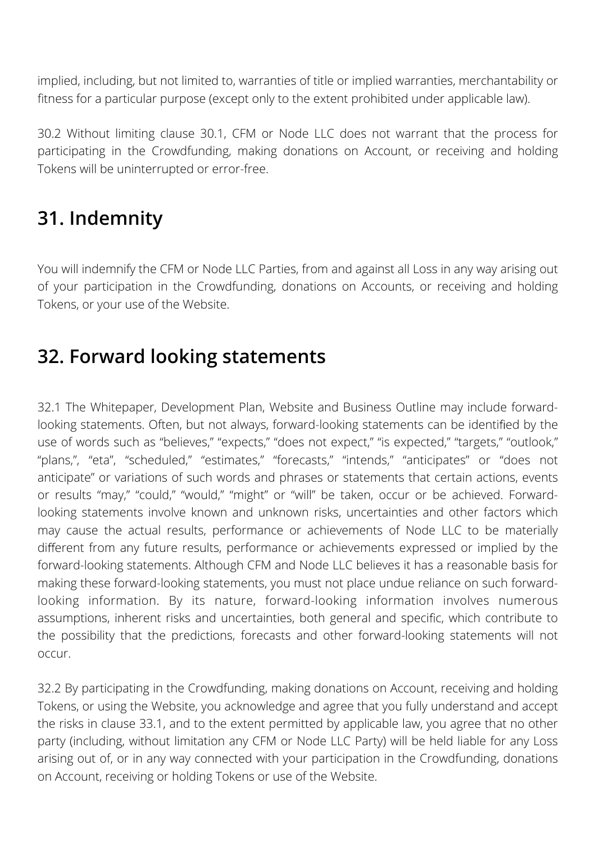implied, including, but not limited to, warranties of title or implied warranties, merchantability or fitness for a particular purpose (except only to the extent prohibited under applicable law).

30.2 Without limiting clause 30.1, CFM or Node LLC does not warrant that the process for participating in the Crowdfunding, making donations on Account, or receiving and holding Tokens will be uninterrupted or error-free.

# **31. Indemnity**

You will indemnify the CFM or Node LLC Parties, from and against all Loss in any way arising out of your participation in the Crowdfunding, donations on Accounts, or receiving and holding Tokens, or your use of the Website.

#### **32. Forward looking statements**

32.1 The Whitepaper, Development Plan, Website and Business Outline may include forwardlooking statements. Often, but not always, forward-looking statements can be identified by the use of words such as "believes," "expects," "does not expect," "is expected," "targets," "outlook," "plans,", "eta", "scheduled," "estimates," "forecasts," "intends," "anticipates" or "does not anticipate" or variations of such words and phrases or statements that certain actions, events or results "may," "could," "would," "might" or "will" be taken, occur or be achieved. Forwardlooking statements involve known and unknown risks, uncertainties and other factors which may cause the actual results, performance or achievements of Node LLC to be materially different from any future results, performance or achievements expressed or implied by the forward-looking statements. Although CFM and Node LLC believes it has a reasonable basis for making these forward-looking statements, you must not place undue reliance on such forwardlooking information. By its nature, forward-looking information involves numerous assumptions, inherent risks and uncertainties, both general and specific, which contribute to the possibility that the predictions, forecasts and other forward-looking statements will not occur.

32.2 By participating in the Crowdfunding, making donations on Account, receiving and holding Tokens, or using the Website, you acknowledge and agree that you fully understand and accept the risks in clause 33.1, and to the extent permitted by applicable law, you agree that no other party (including, without limitation any CFM or Node LLC Party) will be held liable for any Loss arising out of, or in any way connected with your participation in the Crowdfunding, donations on Account, receiving or holding Tokens or use of the Website.